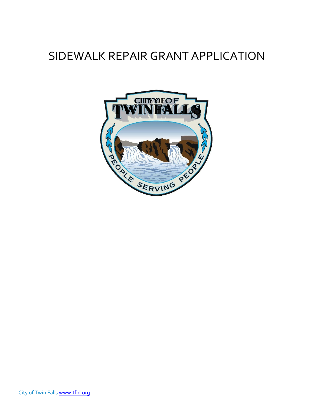## SIDEWALK REPAIR GRANT APPLICATION

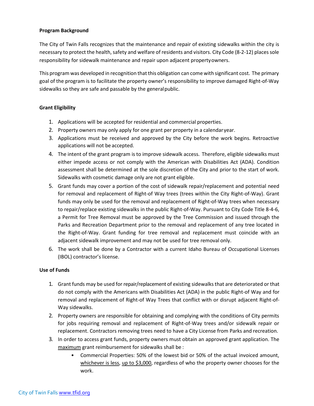#### **Program Background**

The City of Twin Falls recognizes that the maintenance and repair of existing sidewalks within the city is necessary to protect the health, safety and welfare of residents and visitors. City Code (8-2-12) places sole responsibility for sidewalk maintenance and repair upon adjacent propertyowners.

This program was developed in recognition that this obligation can come with significant cost. The primary goal of the program is to facilitate the property owner's responsibility to improve damaged Right-of-Way sidewalks so they are safe and passable by the generalpublic.

#### **Grant Eligibility**

- 1. Applications will be accepted for residential and commercial properties.
- 2. Property owners may only apply for one grant per property in a calendaryear.
- 3. Applications must be received and approved by the City before the work begins. Retroactive applications will not be accepted.
- 4. The intent of the grant program is to improve sidewalk access. Therefore, eligible sidewalks must either impede access or not comply with the American with Disabilities Act (ADA). Condition assessment shall be determined at the sole discretion of the City and prior to the start of work. Sidewalks with cosmetic damage only are not grant eligible.
- 5. Grant funds may cover a portion of the cost of sidewalk repair/replacement and potential need for removal and replacement of Right-of Way trees (trees within the City Right-of-Way). Grant funds may only be used for the removal and replacement of Right-of-Way trees when necessary to repair/replace existing sidewalks in the public Right-of-Way. Pursuant to City Code Title 8-4-6, a Permit for Tree Removal must be approved by the Tree Commission and issued through the Parks and Recreation Department prior to the removal and replacement of any tree located in the Right-of-Way. Grant funding for tree removal and replacement must coincide with an adjacent sidewalk improvement and may not be used for tree removal only.
- 6. The work shall be done by a Contractor with a current Idaho Bureau of Occupational Licenses (IBOL) contractor's license.

#### **Use of Funds**

- 1. Grant funds may be used for repair/replacement of existing sidewalksthat are deteriorated or that do not comply with the Americans with Disabilities Act (ADA) in the public Right-of Way and for removal and replacement of Right-of Way Trees that conflict with or disrupt adjacent Right-of-Way sidewalks.
- 2. Property owners are responsible for obtaining and complying with the conditions of City permits for jobs requiring removal and replacement of Right-of-Way trees and/or sidewalk repair or replacement. Contractors removing trees need to have a City License from Parks and recreation.
- 3. In order to access grant funds, property owners must obtain an approved grant application. The maximum grant reimbursement for sidewalks shall be :
	- Commercial Properties: 50% of the lowest bid or 50% of the actual invoiced amount, whichever is less, up to \$3,000, regardless of who the property owner chooses for the work.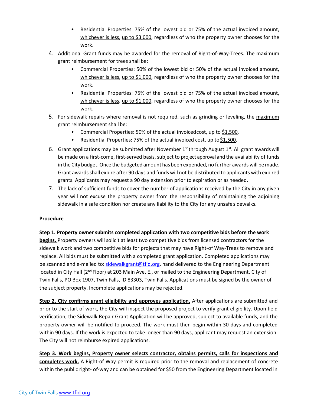- Residential Properties: 75% of the lowest bid or 75% of the actual invoiced amount, whichever is less, up to \$3,000, regardless of who the property owner chooses for the work.
- 4. Additional Grant funds may be awarded for the removal of Right-of-Way-Trees. The maximum grant reimbursement for trees shall be:
	- Commercial Properties: 50% of the lowest bid or 50% of the actual invoiced amount, whichever is less, up to \$1,000, regardless of who the property owner chooses for the work.
	- Residential Properties: 75% of the lowest bid or 75% of the actual invoiced amount, whichever is less, up to \$1,000, regardless of who the property owner chooses for the work.
- 5. For sidewalk repairs where removal is not required, such as grinding or leveling, the maximum grant reimbursement shall be:
	- Commercial Properties: 50% of the actual invoicedcost, up to \$1,500.
	- Residential Properties: 75% of the actual invoiced cost, up to \$1,500.
- 6. Grant applications may be submitted after November  $1<sup>st</sup>$  through August  $1<sup>st</sup>$ . All grant awards will be made on a first-come, first-served basis, subject to project approval and the availability of funds in the City budget. Once the budgeted amount has been expended, no further awards will be made. Grant awardsshall expire after 90 days and funds will not be distributed to applicants with expired grants. Applicants may request a 90 day extension prior to expiration or as needed.
- 7. The lack of sufficient funds to cover the number of applications received by the City in any given year will not excuse the property owner from the responsibility of maintaining the adjoining sidewalk in a safe condition nor create any liability to the City for any unsafesidewalks.

#### **Procedure**

#### **Step 1. Property owner submits completed application with two competitive bids before the work**

**begins.** Property owners will solicit at least two competitive bids from licensed contractors for the sidewalk work and two competitive bids for projects that may have Right-of Way-Trees to remove and replace. All bids must be submitted with a completed grant application. Completed applications may be scanned and e-mailed to: [sidewalkgrant@tfid.org,](mailto:sidewalkgrant@tfid.org) hand delivered to the Engineering Department located in City Hall (2<sup>nd</sup> Floor) at 203 Main Ave. E., or mailed to the Engineering Department, City of Twin Falls, PO Box 1907, Twin Falls, ID 83303, Twin Falls. Applications must be signed by the owner of the subject property. Incomplete applications may be rejected.

**Step 2. City confirms grant eligibility and approves application.** After applications are submitted and prior to the start of work, the City will inspect the proposed project to verify grant eligibility. Upon field verification, the Sidewalk Repair Grant Application will be approved, subject to available funds, and the property owner will be notified to proceed. The work must then begin within 30 days and completed within 90 days. If the work is expected to take longer than 90 days, applicant may request an extension. The City will not reimburse expired applications.

**Step 3. Work begins, Property owner selects contractor, obtains permits, calls for inspections and completes work.** A Right-of Way permit is required prior to the removal and replacement of concrete within the public right- of-way and can be obtained for \$50 from the Engineering Department located in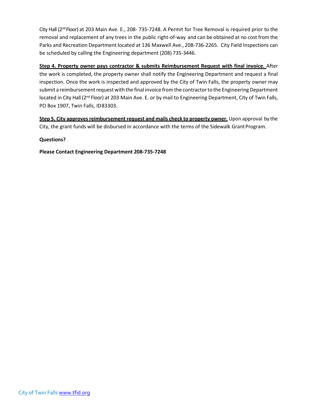City Hall (2<sup>nd</sup> Floor) at 203 Main Ave. E., 208- 735-7248. A Permit for Tree Removal is required prior to the removal and replacement of any trees in the public right-of-way and can be obtained at no cost from the Parks and Recreation Department located at 136 Maxwell Ave., 208-736-2265. City Field Inspections can be scheduled by calling the Engineering department (208) 735-3446.

**Step 4. Property owner pays contractor & submits Reimbursement Request with final invoice.** After the work is completed, the property owner shall notify the Engineering Department and request a final inspection. Once the work is inspected and approved by the City of Twin Falls, the property owner may submit a reimbursement request with the final invoice from the contractor to the Engineering Department located in City Hall (2<sup>nd</sup> Floor) at 203 Main Ave. E. or by mail to Engineering Department, City of Twin Falls, PO Box 1907, Twin Falls, ID83303.

**Step 5. City approvesreimbursement request and mails check to property owner.** Upon approval by the City, the grant funds will be disbursed in accordance with the terms of the Sidewalk GrantProgram.

#### **Questions?**

**Please Contact Engineering Department 208-735-7248**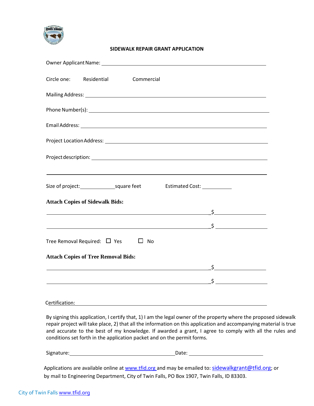

#### **SIDEWALK REPAIR GRANT APPLICATION**

|                                            |  | Circle one: Residential Commercial                  |                                     |                                                                                  |
|--------------------------------------------|--|-----------------------------------------------------|-------------------------------------|----------------------------------------------------------------------------------|
|                                            |  |                                                     |                                     |                                                                                  |
|                                            |  |                                                     |                                     |                                                                                  |
|                                            |  |                                                     |                                     |                                                                                  |
|                                            |  |                                                     |                                     |                                                                                  |
|                                            |  |                                                     |                                     |                                                                                  |
|                                            |  | Size of project: square feet                        | Estimated Cost: <u>____________</u> | ,我们也不会有什么。""我们的人,我们也不会有什么?""我们的人,我们也不会有什么?""我们的人,我们也不会有什么?""我们的人,我们也不会有什么?""我们的人 |
| <b>Attach Copies of Sidewalk Bids:</b>     |  |                                                     |                                     |                                                                                  |
|                                            |  |                                                     |                                     |                                                                                  |
|                                            |  |                                                     |                                     |                                                                                  |
| Tree Removal Required: $\Box$ Yes $\Box$   |  | No                                                  |                                     |                                                                                  |
| <b>Attach Copies of Tree Removal Bids:</b> |  |                                                     |                                     |                                                                                  |
|                                            |  | <u> 1980 - Johann Barbara, martxa alemaniar arg</u> |                                     | $\mathsf{S}$                                                                     |
|                                            |  |                                                     |                                     |                                                                                  |
|                                            |  |                                                     |                                     |                                                                                  |

#### Certification:

By signing this application, I certify that, 1) I am the legal owner of the property where the proposed sidewalk repair project will take place, 2) that all the information on this application and accompanying material is true and accurate to the best of my knowledge. If awarded a grant, I agree to comply with all the rules and conditions set forth in the application packet and on the permit forms.

Signature: Date: Date: Date: Date: Date: Date: Date: Date:

Applications are available online at [www.tfid.org a](http://www.tfid.org/)nd may be emailed to: sidewalkgrant@tfid.org; or by mail to Engineering Department, City of Twin Falls, PO Box 1907, Twin Falls, ID 83303.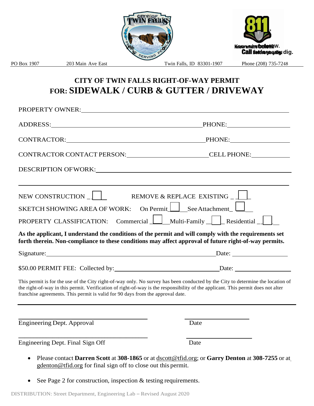

### **CITY OF TWIN FALLS RIGHT-OF-WAY PERMIT FOR: SIDEWALK / CURB & GUTTER / DRIVEWAY**

| PROPERTY OWNER:                                                                                                                                                                                                                                                                                                                                       |                                                                                                  |  |  |
|-------------------------------------------------------------------------------------------------------------------------------------------------------------------------------------------------------------------------------------------------------------------------------------------------------------------------------------------------------|--------------------------------------------------------------------------------------------------|--|--|
|                                                                                                                                                                                                                                                                                                                                                       |                                                                                                  |  |  |
| CONTRACTOR: PHONE:                                                                                                                                                                                                                                                                                                                                    |                                                                                                  |  |  |
| CONTRACTOR CONTACT PERSON: CONTRACTOR CONTRACTOR CONTACT PERSON:                                                                                                                                                                                                                                                                                      |                                                                                                  |  |  |
| DESCRIPTION OF WORK: University of Anti-                                                                                                                                                                                                                                                                                                              |                                                                                                  |  |  |
| NEW CONSTRUCTION _ ]                                                                                                                                                                                                                                                                                                                                  | REMOVE & REPLACE EXISTING                                                                        |  |  |
| SKETCH SHOWING AREA OF WORK: On Permit $\Box$ See Attachment<br>PROPERTY CLASSIFICATION: Commercial Multi-Family Residential                                                                                                                                                                                                                          |                                                                                                  |  |  |
| As the applicant, I understand the conditions of the permit and will comply with the requirements set<br>forth therein. Non-compliance to these conditions may affect approval of future right-of-way permits.                                                                                                                                        |                                                                                                  |  |  |
| Signature: Date: Date: Detection of Date: Date:                                                                                                                                                                                                                                                                                                       |                                                                                                  |  |  |
| \$50.00 PERMIT FEE: Collected by: Date: Date:                                                                                                                                                                                                                                                                                                         |                                                                                                  |  |  |
| This permit is for the use of the City right-of-way only. No survey has been conducted by the City to determine the location of<br>the right-of-way in this permit. Verification of right-of-way is the responsibility of the applicant. This permit does not alter<br>franchise agreements. This permit is valid for 90 days from the approval date. |                                                                                                  |  |  |
| Engineering Dept. Approval                                                                                                                                                                                                                                                                                                                            | Date                                                                                             |  |  |
| Engineering Dept. Final Sign Off                                                                                                                                                                                                                                                                                                                      | Date                                                                                             |  |  |
| $\mathcal{C}$ and $\mathcal{C}$ and $\mathcal{C}$ and $\mathcal{C}$ and $\mathcal{C}$ and $\mathcal{C}$ and $\mathcal{C}$ and $\mathcal{C}$ and $\mathcal{C}$ and $\mathcal{C}$ and $\mathcal{C}$ and $\mathcal{C}$ and $\mathcal{C}$ and $\mathcal{C}$ and $\mathcal{C}$ and $\mathcal{C}$ and $\mathcal{C}$ and                                     | Please contact Darren Scott at 308-1865 or at dscott@tfid.org; or Garry Denton at 308-7255 or at |  |  |

- [gdenton@tfid.org](mailto:gdenton@tfid.org) for final sign off to close out this permit.
- See Page 2 for construction, inspection & testing requirements.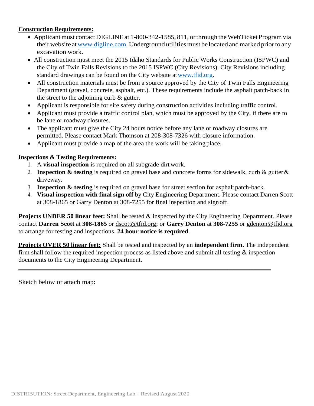#### **Construction Requirements:**

- Applicant must contact DIGLINE at 1-800-342-1585, 811, or through the WebTicket Program via their website at [www.digline.com.](http://www.digline.com/) Underground utilities must be located and marked prior to any excavation work.
- All construction must meet the 2015 Idaho Standards for Public Works Construction (ISPWC) and the City of Twin Falls Revisions to the 2015 ISPWC (City Revisions). City Revisions including standard drawings can be found on the City website at www.tfid.org.
- All construction materials must be from a source approved by the City of Twin Falls Engineering Department (gravel, concrete, asphalt, etc.). These requirements include the asphalt patch-back in the street to the adjoining curb & gutter.
- Applicant is responsible for site safety during construction activities including traffic control.
- Applicant must provide a traffic control plan, which must be approved by the City, if there are to be lane or roadway closures.
- The applicant must give the City 24 hours notice before any lane or roadway closures are permitted. Please contact Mark Thomson at 208-308-7326 with closure information.
- Applicant must provide a map of the area the work will be taking place.

#### **Inspections & Testing Requirements:**

- 1. A **visual inspection** is required on all subgrade dirtwork.
- 2. **Inspection & testing** is required on gravel base and concrete forms for sidewalk, curb & gutter& driveway.
- 3. **Inspection & testing** is required on gravel base for street section for asphalt patch-back.
- 4. **Visual inspection with final sign off** by City Engineering Department. Please contact Darren Scott at 308-1865 or Garry Denton at 308-7255 for final inspection and signoff.

**Projects UNDER 50 linear feet:** Shall be tested & inspected by the City Engineering Department. Please contact **Darren Scott** at **308-1865** or [dscott@tfid.org;](mailto:dscott@tfid.org) or **Garry Denton** at **308-7255** or [gdenton@tfid.org](mailto:gdenton@tfid.org) to arrange for testing and inspections. **24 hour notice is required**.

**Projects OVER 50 linear feet:** Shall be tested and inspected by an **independent firm.** The independent firm shall follow the required inspection process as listed above and submit all testing  $\&$  inspection documents to the City Engineering Department.

**\_\_\_\_\_\_\_\_\_\_\_\_\_\_\_\_\_\_\_\_\_\_\_\_\_\_\_\_\_\_\_\_\_\_\_\_\_\_\_\_\_\_\_\_\_\_\_\_\_\_\_\_\_\_\_\_\_\_\_\_\_\_\_\_\_\_\_\_\_\_\_\_\_\_\_\_\_\_\_\_\_\_**

Sketch below or attach map: